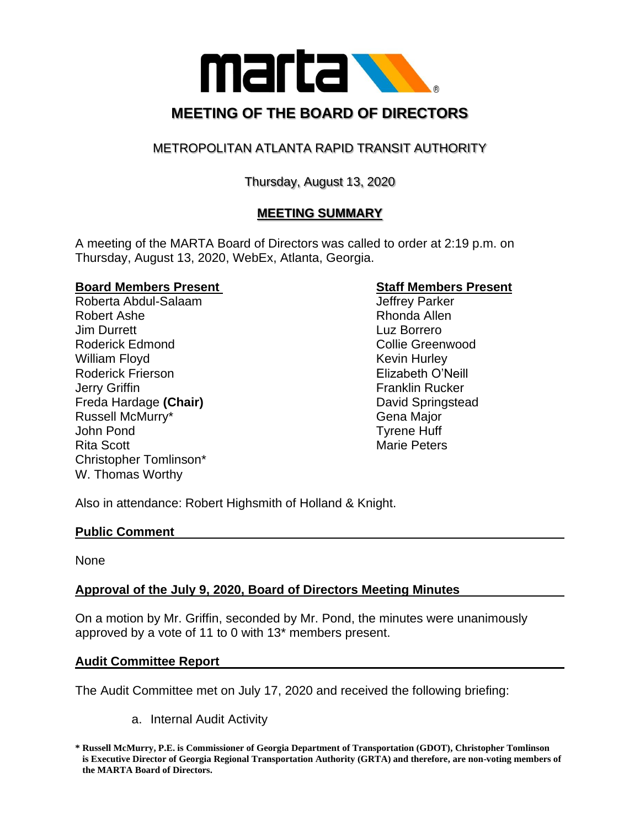

# METROPOLITAN ATLANTA RAPID TRANSIT AUTHORITY

# Thursday, August 13, 2020

# **MEETING SUMMARY**

A meeting of the MARTA Board of Directors was called to order at 2:19 p.m. on Thursday, August 13, 2020, WebEx, Atlanta, Georgia.

## **Board Members Present Constrainer Staff Members Present**

Roberta Abdul-Salaam Jeffrey Parker Robert Ashe **Rhonda** Allen **Jim Durrett** Luz Borrero Roderick Edmond **Collie Greenwood Collie Greenwood** William Floyd **Kevin Hurley** Kevin Hurley Roderick Frierson **Elizabeth O'Neill Jerry Griffin Franklin Rucker** Freda Hardage **(Chair)** David Springstead Russell McMurry\* The Communication of the Gena Major John Pond Tyrene Huff Rita Scott **Marie Peters** Marie Peters Christopher Tomlinson\* W. Thomas Worthy

Also in attendance: Robert Highsmith of Holland & Knight.

### **Public Comment**

None

# **Approval of the July 9, 2020, Board of Directors Meeting Minutes**

On a motion by Mr. Griffin, seconded by Mr. Pond, the minutes were unanimously approved by a vote of 11 to 0 with 13\* members present.

### **Audit Committee Report**

The Audit Committee met on July 17, 2020 and received the following briefing:

a. Internal Audit Activity

**<sup>\*</sup> Russell McMurry, P.E. is Commissioner of Georgia Department of Transportation (GDOT), Christopher Tomlinson is Executive Director of Georgia Regional Transportation Authority (GRTA) and therefore, are non-voting members of the MARTA Board of Directors.**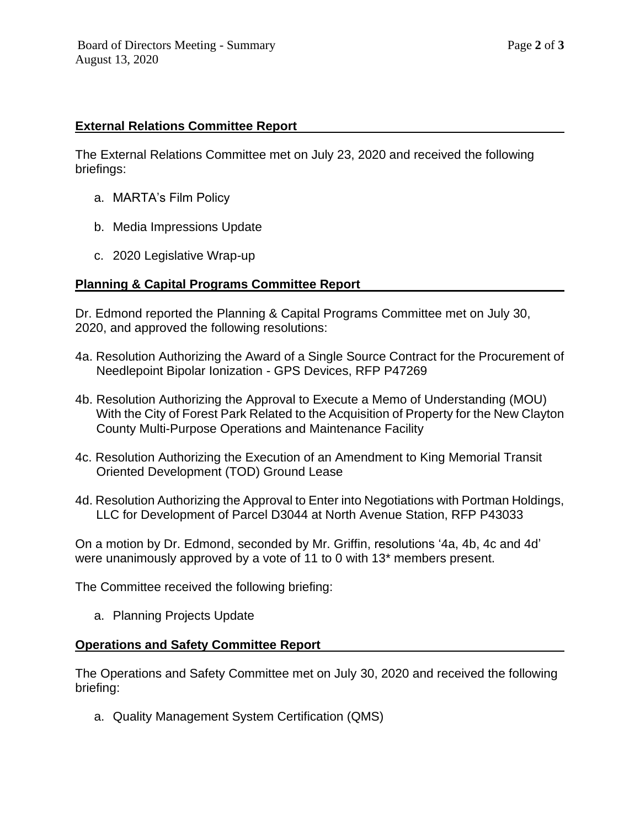## **External Relations Committee Report**

The External Relations Committee met on July 23, 2020 and received the following briefings:

- a. MARTA's Film Policy
- b. Media Impressions Update
- c. 2020 Legislative Wrap-up

## **Planning & Capital Programs Committee Report**

Dr. Edmond reported the Planning & Capital Programs Committee met on July 30, 2020, and approved the following resolutions:

- 4a. Resolution Authorizing the Award of a Single Source Contract for the Procurement of Needlepoint Bipolar Ionization - GPS Devices, RFP P47269
- 4b. Resolution Authorizing the Approval to Execute a Memo of Understanding (MOU) With the City of Forest Park Related to the Acquisition of Property for the New Clayton County Multi-Purpose Operations and Maintenance Facility
- 4c. Resolution Authorizing the Execution of an Amendment to King Memorial Transit Oriented Development (TOD) Ground Lease
- 4d. Resolution Authorizing the Approval to Enter into Negotiations with Portman Holdings, LLC for Development of Parcel D3044 at North Avenue Station, RFP P43033

On a motion by Dr. Edmond, seconded by Mr. Griffin, resolutions '4a, 4b, 4c and 4d' were unanimously approved by a vote of 11 to 0 with 13\* members present.

The Committee received the following briefing:

a. Planning Projects Update

### **Operations and Safety Committee Report**

The Operations and Safety Committee met on July 30, 2020 and received the following briefing:

a. Quality Management System Certification (QMS)